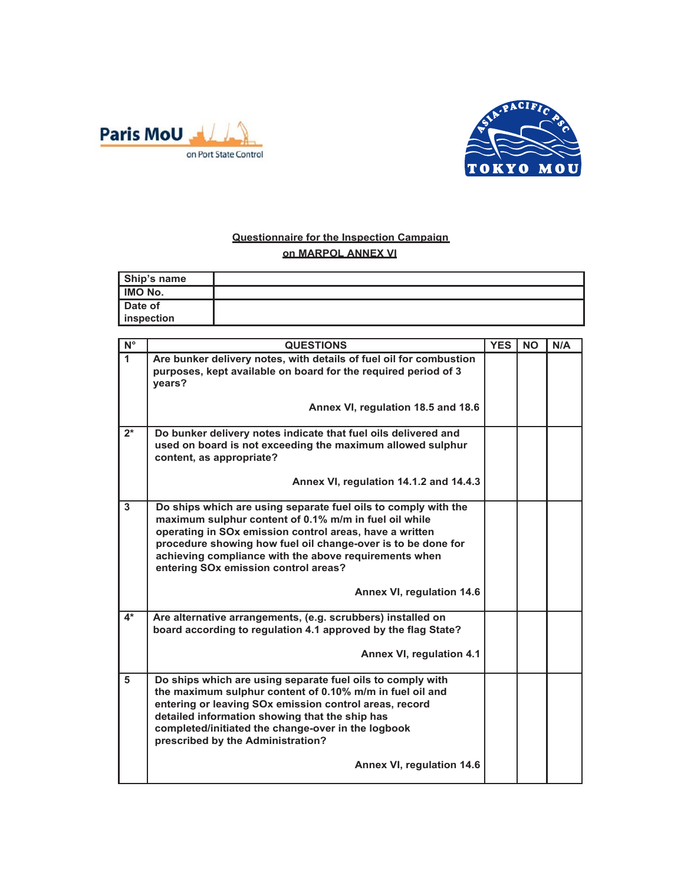



## **Questionnaire for the Inspection Campaign on MARPOL ANNEX VI**

| Ship's name       |  |
|-------------------|--|
| <b>IMO No.</b>    |  |
| Date of           |  |
| <b>Inspection</b> |  |

| $N^{\circ}$          | <b>QUESTIONS</b>                                                                                                                                                                                                                                                                                                                                    | <b>YES</b> | <b>NO</b> | N/A |
|----------------------|-----------------------------------------------------------------------------------------------------------------------------------------------------------------------------------------------------------------------------------------------------------------------------------------------------------------------------------------------------|------------|-----------|-----|
| $\blacktriangleleft$ | Are bunker delivery notes, with details of fuel oil for combustion<br>purposes, kept available on board for the required period of 3<br>years?                                                                                                                                                                                                      |            |           |     |
|                      | Annex VI, regulation 18.5 and 18.6                                                                                                                                                                                                                                                                                                                  |            |           |     |
| $2^*$                | Do bunker delivery notes indicate that fuel oils delivered and<br>used on board is not exceeding the maximum allowed sulphur<br>content, as appropriate?                                                                                                                                                                                            |            |           |     |
|                      | Annex VI, regulation 14.1.2 and 14.4.3                                                                                                                                                                                                                                                                                                              |            |           |     |
| $\mathbf{3}$         | Do ships which are using separate fuel oils to comply with the<br>maximum sulphur content of 0.1% m/m in fuel oil while<br>operating in SOx emission control areas, have a written<br>procedure showing how fuel oil change-over is to be done for<br>achieving compliance with the above requirements when<br>entering SOx emission control areas? |            |           |     |
|                      | Annex VI, regulation 14.6                                                                                                                                                                                                                                                                                                                           |            |           |     |
| $4*$                 | Are alternative arrangements, (e.g. scrubbers) installed on<br>board according to regulation 4.1 approved by the flag State?<br>Annex VI, regulation 4.1                                                                                                                                                                                            |            |           |     |
| 5                    | Do ships which are using separate fuel oils to comply with<br>the maximum sulphur content of 0.10% m/m in fuel oil and<br>entering or leaving SOx emission control areas, record<br>detailed information showing that the ship has<br>completed/initiated the change-over in the logbook<br>prescribed by the Administration?                       |            |           |     |
|                      | Annex VI, regulation 14.6                                                                                                                                                                                                                                                                                                                           |            |           |     |